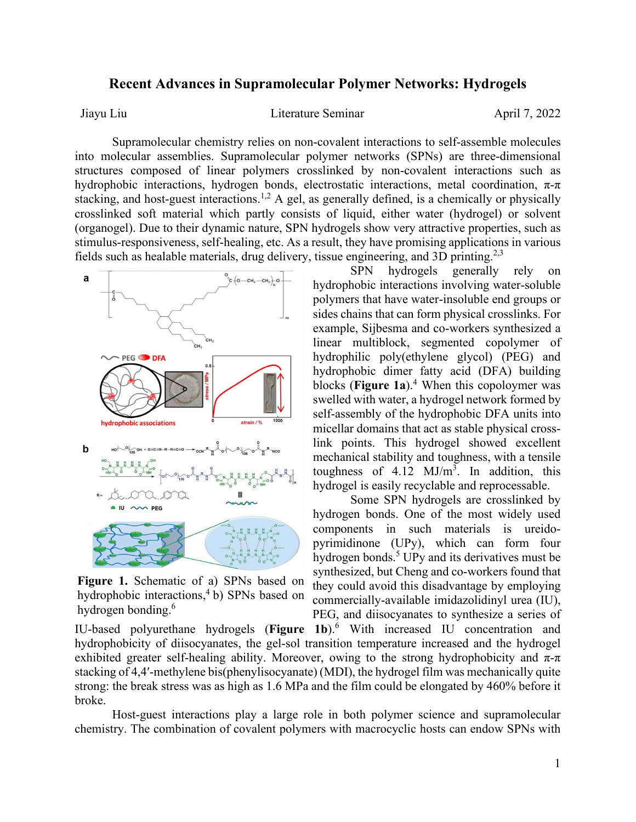## **Recent Advances in Supramolecular Polymer Networks: Hydrogels**

Jiayu Liu  $Literature$  Seminar April 7, 2022

Supramolecular chemistry relies on non-covalent interactions to self-assemble molecules into molecular assemblies. Supramolecular polymer networks (SPNs) are three-dimensional structures composed of linear polymers crosslinked by non-covalent interactions such as hydrophobic interactions, hydrogen bonds, electrostatic interactions, metal coordination,  $\pi$ - $\pi$ stacking, and host-guest interactions.<sup>1,2</sup> A gel, as generally defined, is a chemically or physically crosslinked soft material which partly consists of liquid, either water (hydrogel) or solvent (organogel). Due to their dynamic nature, SPN hydrogels show very attractive properties, such as stimulus-responsiveness, self-healing, etc. As a result, they have promising applications in various fields such as healable materials, drug delivery, tissue engineering, and 3D printing.<sup>2,3</sup>



**Figure 1.** Schematic of a) SPNs based on hydrophobic interactions,<sup>4</sup> b) SPNs based on hydrogen bonding.<sup>6</sup>

SPN hydrogels generally rely on hydrophobic interactions involving water-soluble polymers that have water-insoluble end groups or sides chains that can form physical crosslinks. For example, Sijbesma and co-workers synthesized a linear multiblock, segmented copolymer of hydrophilic poly(ethylene glycol) (PEG) and hydrophobic dimer fatty acid (DFA) building blocks (**Figure 1a**). <sup>4</sup> When this copoloymer was swelled with water, a hydrogel network formed by self-assembly of the hydrophobic DFA units into micellar domains that act as stable physical crosslink points. This hydrogel showed excellent mechanical stability and toughness, with a tensile toughness of  $4.12 \text{ MJ/m}^3$ . In addition, this hydrogel is easily recyclable and reprocessable.

Some SPN hydrogels are crosslinked by hydrogen bonds. One of the most widely used components in such materials is ureidopyrimidinone (UPy), which can form four hydrogen bonds. <sup>5</sup> UPy and its derivatives must be synthesized, but Cheng and co-workers found that they could avoid this disadvantage by employing commercially-available imidazolidinyl urea (IU), PEG, and diisocyanates to synthesize a series of

IU-based polyurethane hydrogels (**Figure 1b**). <sup>6</sup> With increased IU concentration and hydrophobicity of diisocyanates, the gel-sol transition temperature increased and the hydrogel exhibited greater self-healing ability. Moreover, owing to the strong hydrophobicity and  $\pi$ - $\pi$ stacking of 4,4′-methylene bis(phenylisocyanate) (MDI), the hydrogel film was mechanically quite strong: the break stress was as high as 1.6 MPa and the film could be elongated by 460% before it broke.

Host-guest interactions play a large role in both polymer science and supramolecular chemistry. The combination of covalent polymers with macrocyclic hosts can endow SPNs with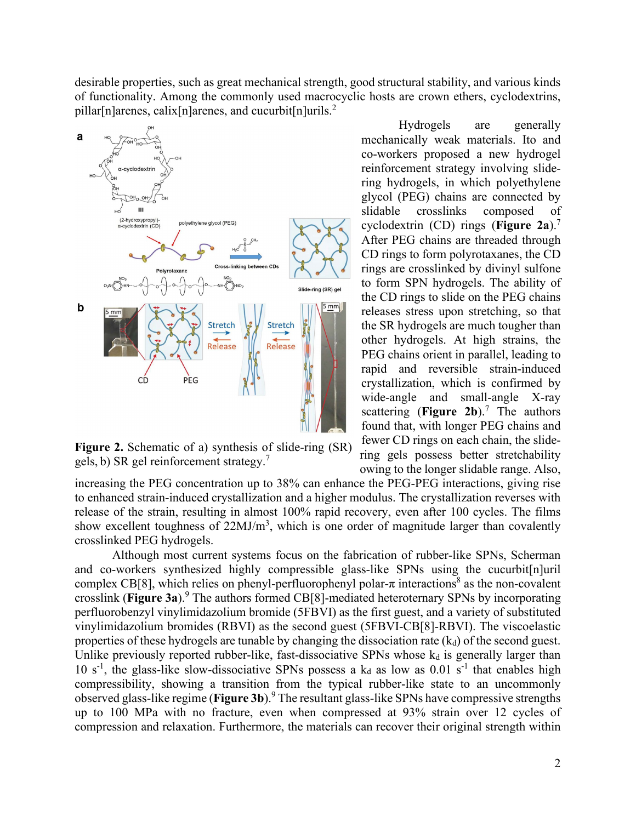desirable properties, such as great mechanical strength, good structural stability, and various kinds of functionality. Among the commonly used macrocyclic hosts are crown ethers, cyclodextrins, pillar[n]arenes, calix[n]arenes, and cucurbit[n]urils. 2



**Figure 2.** Schematic of a) synthesis of slide-ring (SR) gels, b) SR gel reinforcement strategy.<sup>7</sup>

Hydrogels are generally mechanically weak materials. Ito and co-workers proposed a new hydrogel reinforcement strategy involving slidering hydrogels, in which polyethylene glycol (PEG) chains are connected by slidable crosslinks composed of cyclodextrin (CD) rings (**Figure 2a**).7 After PEG chains are threaded through CD rings to form polyrotaxanes, the CD rings are crosslinked by divinyl sulfone to form SPN hydrogels. The ability of the CD rings to slide on the PEG chains releases stress upon stretching, so that the SR hydrogels are much tougher than other hydrogels. At high strains, the PEG chains orient in parallel, leading to rapid and reversible strain-induced crystallization, which is confirmed by wide-angle and small-angle X-ray scattering (**Figure 2b**).<sup>7</sup> The authors found that, with longer PEG chains and fewer CD rings on each chain, the slidering gels possess better stretchability owing to the longer slidable range. Also,

increasing the PEG concentration up to 38% can enhance the PEG-PEG interactions, giving rise to enhanced strain-induced crystallization and a higher modulus. The crystallization reverses with release of the strain, resulting in almost 100% rapid recovery, even after 100 cycles. The films show excellent toughness of  $22MJ/m<sup>3</sup>$ , which is one order of magnitude larger than covalently crosslinked PEG hydrogels.

Although most current systems focus on the fabrication of rubber-like SPNs, Scherman and co-workers synthesized highly compressible glass-like SPNs using the cucurbit[n]uril complex CB[8], which relies on phenyl-perfluorophenyl polar- $\pi$  interactions<sup>8</sup> as the non-covalent crosslink (**Figure 3a**).9 The authors formed CB[8]-mediated heteroternary SPNs by incorporating perfluorobenzyl vinylimidazolium bromide (5FBVI) as the first guest, and a variety of substituted vinylimidazolium bromides (RBVI) as the second guest (5FBVI-CB[8]-RBVI). The viscoelastic properties of these hydrogels are tunable by changing the dissociation rate  $(k_d)$  of the second guest. Unlike previously reported rubber-like, fast-dissociative SPNs whose  $k_d$  is generally larger than 10 s<sup>-1</sup>, the glass-like slow-dissociative SPNs possess a  $k_d$  as low as 0.01 s<sup>-1</sup> that enables high compressibility, showing a transition from the typical rubber-like state to an uncommonly observed glass-like regime (**Figure 3b**). <sup>9</sup> The resultant glass-like SPNs have compressive strengths up to 100 MPa with no fracture, even when compressed at 93% strain over 12 cycles of compression and relaxation. Furthermore, the materials can recover their original strength within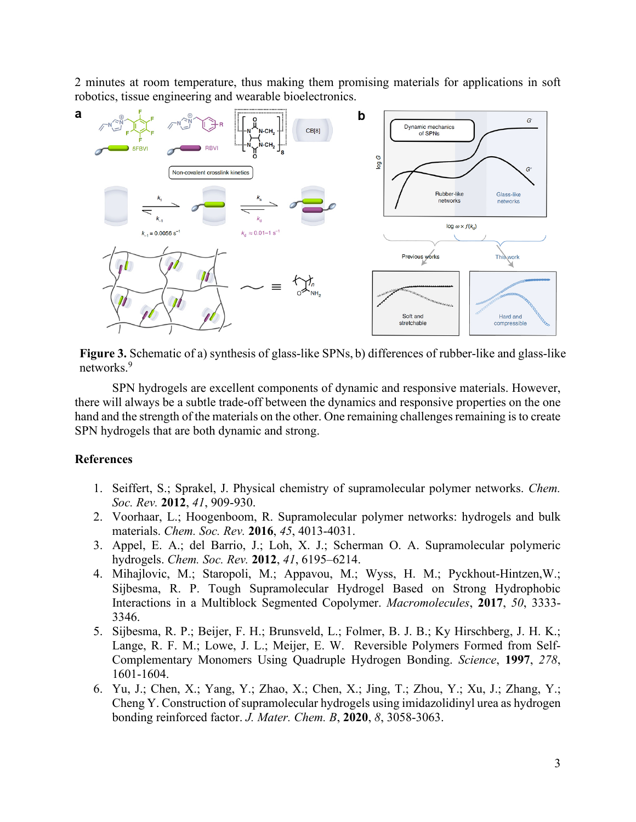2 minutes at room temperature, thus making them promising materials for applications in soft robotics, tissue engineering and wearable bioelectronics.



**Figure 3.** Schematic of a) synthesis of glass-like SPNs, b) differences of rubber-like and glass-like networks.<sup>9</sup>

SPN hydrogels are excellent components of dynamic and responsive materials. However, there will always be a subtle trade-off between the dynamics and responsive properties on the one hand and the strength of the materials on the other. One remaining challenges remaining is to create SPN hydrogels that are both dynamic and strong.

## **References**

- 1. Seiffert, S.; Sprakel, J. Physical chemistry of supramolecular polymer networks. *Chem. Soc. Rev.* **2012**, *41*, 909-930.
- 2. Voorhaar, L.; Hoogenboom, R. Supramolecular polymer networks: hydrogels and bulk materials. *Chem. Soc. Rev.* **2016**, *45*, 4013-4031.
- 3. Appel, E. A.; del Barrio, J.; Loh, X. J.; Scherman O. A. Supramolecular polymeric hydrogels. *Chem. Soc. Rev.* **2012**, *41*, 6195–6214.
- 4. Mihajlovic, M.; Staropoli, M.; Appavou, M.; Wyss, H. M.; Pyckhout-Hintzen,W.; Sijbesma, R. P. Tough Supramolecular Hydrogel Based on Strong Hydrophobic Interactions in a Multiblock Segmented Copolymer. *Macromolecules*, **2017**, *50*, 3333- 3346.
- 5. Sijbesma, R. P.; Beijer, F. H.; Brunsveld, L.; Folmer, B. J. B.; Ky Hirschberg, J. H. K.; Lange, R. F. M.; Lowe, J. L.; Meijer, E. W. Reversible Polymers Formed from Self-Complementary Monomers Using Quadruple Hydrogen Bonding. *Science*, **1997**, *278*, 1601-1604.
- 6. Yu, J.; Chen, X.; Yang, Y.; Zhao, X.; Chen, X.; Jing, T.; Zhou, Y.; Xu, J.; Zhang, Y.; Cheng Y. Construction of supramolecular hydrogels using imidazolidinyl urea as hydrogen bonding reinforced factor. *J. Mater. Chem. B*, **2020**, *8*, 3058-3063.